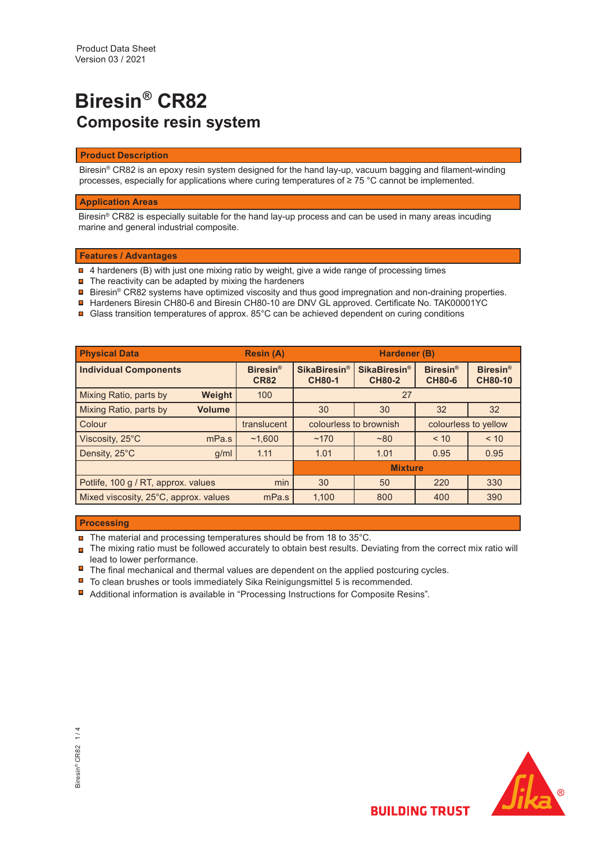# **Biresin® CR82 Composite resin system**

### **Product Description**

Biresin® CR82 is an epoxy resin system designed for the hand lay-up, vacuum bagging and filament-winding processes, especially for applications where curing temperatures of ≥ 75 °C cannot be implemented.

### **Application Areas**

Biresin® CR82 is especially suitable for the hand lay-up process and can be used in many areas incuding marine and general industrial composite.

## **Features / Advantages**

- $\textcolor{red}{\blacksquare}$  4 hardeners (B) with just one mixing ratio by weight, give a wide range of processing times
- **□** The reactivity can be adapted by mixing the hardeners
- Biresin® CR82 systems have optimized viscosity and thus good impregnation and non-draining properties.
- Hardeners Biresin CH80-6 and Biresin CH80-10 are DNV GL approved. Certificate No. TAK00001YC
- Glass transition temperatures of approx. 85°C can be achieved dependent on curing conditions

| <b>Physical Data</b>                       | <b>Resin (A)</b> | Hardener (B)                              |                                                 |                                                 |                                  |                                              |
|--------------------------------------------|------------------|-------------------------------------------|-------------------------------------------------|-------------------------------------------------|----------------------------------|----------------------------------------------|
| <b>Individual Components</b>               |                  | <b>Biresin<sup>®</sup></b><br><b>CR82</b> | <b>SikaBiresin<sup>®</sup></b><br><b>CH80-1</b> | <b>SikaBiresin<sup>®</sup></b><br><b>CH80-2</b> | <b>Biresin®</b><br><b>CH80-6</b> | <b>Biresin<sup>®</sup></b><br><b>CH80-10</b> |
| Mixing Ratio, parts by                     | Weight           | 100                                       | 27                                              |                                                 |                                  |                                              |
| Mixing Ratio, parts by                     | <b>Volume</b>    |                                           | 30                                              | 30                                              |                                  | 32                                           |
| Colour                                     |                  | translucent                               | colourless to brownish                          |                                                 | colourless to yellow             |                                              |
| Viscosity, 25°C                            | mPa.s            | ~1.600                                    | ~170                                            | ~80                                             | < 10                             | < 10                                         |
| Density, 25°C                              | g/ml             |                                           | 1.01                                            | 1.01                                            | 0.95                             | 0.95                                         |
|                                            | <b>Mixture</b>   |                                           |                                                 |                                                 |                                  |                                              |
| min<br>Potlife, 100 g / RT, approx. values |                  |                                           | 30                                              | 50                                              | 220                              | 330                                          |
| Mixed viscosity, 25°C, approx. values      |                  | mPa.s                                     | 1,100                                           | 800                                             | 400                              | 390                                          |

## **Processing**

- $\blacksquare$  The material and processing temperatures should be from 18 to 35°C.
- $\Box$  The mixing ratio must be followed accurately to obtain best results. Deviating from the correct mix ratio will lead to lower performance.
- $\blacksquare$  The final mechanical and thermal values are dependent on the applied postcuring cycles.
- $\blacksquare$  To clean brushes or tools immediately Sika Reinigungsmittel 5 is recommended.
- Additional information is available in "Processing Instructions for Composite Resins".

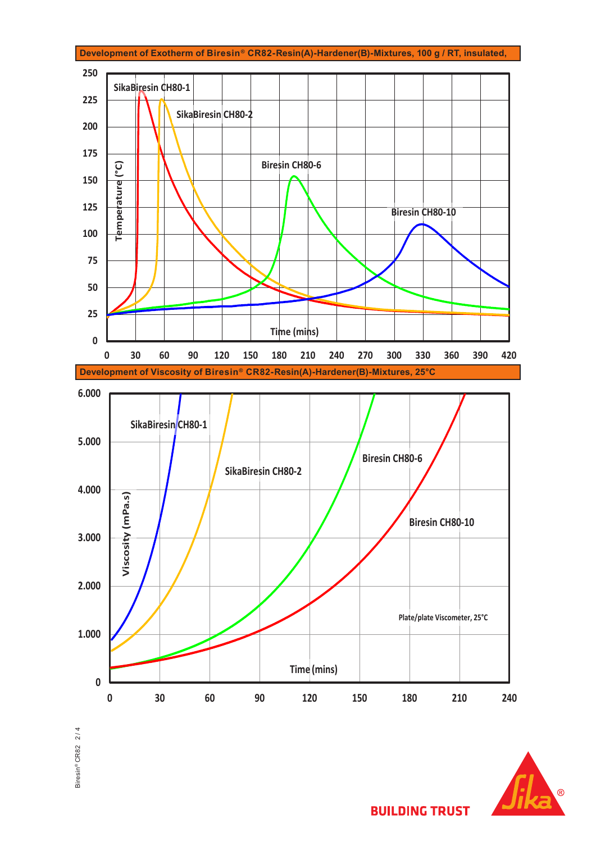





**BUILDING TRUST**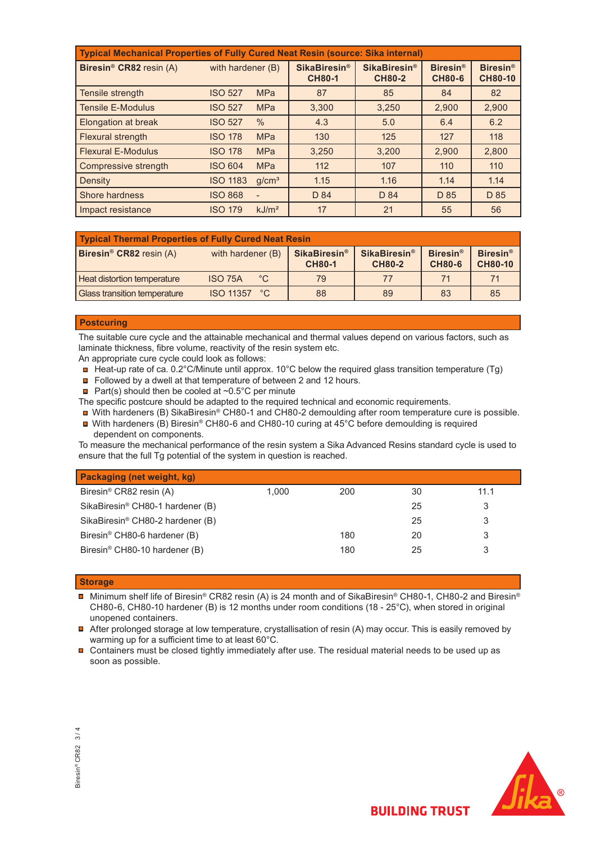| Typical Mechanical Properties of Fully Cured Neat Resin (source: Sika internal) |                   |                   |                                                 |                                                 |                                  |                                   |  |
|---------------------------------------------------------------------------------|-------------------|-------------------|-------------------------------------------------|-------------------------------------------------|----------------------------------|-----------------------------------|--|
| Biresin <sup>®</sup> CR82 resin (A)                                             | with hardener (B) |                   | <b>SikaBiresin<sup>®</sup></b><br><b>CH80-1</b> | <b>SikaBiresin<sup>®</sup></b><br><b>CH80-2</b> | <b>Biresin®</b><br><b>CH80-6</b> | <b>Biresin®</b><br><b>CH80-10</b> |  |
| Tensile strength                                                                | <b>ISO 527</b>    | <b>MPa</b>        | 87                                              | 85                                              | 84                               | 82                                |  |
| <b>Tensile E-Modulus</b>                                                        | <b>ISO 527</b>    | <b>MPa</b>        | 3.300                                           | 3.250                                           | 2.900                            | 2,900                             |  |
| <b>Elongation at break</b>                                                      | <b>ISO 527</b>    | $\%$              | 4.3                                             | 5.0                                             | 6.4                              | 6.2                               |  |
| <b>Flexural strength</b>                                                        | <b>ISO 178</b>    | <b>MPa</b>        | 130                                             | 125                                             | 127                              | 118                               |  |
| <b>Flexural E-Modulus</b>                                                       | <b>ISO 178</b>    | <b>MPa</b>        | 3,250                                           | 3,200                                           | 2,900                            | 2,800                             |  |
| Compressive strength                                                            | <b>ISO 604</b>    | <b>MPa</b>        | 112                                             | 107                                             | 110                              | 110                               |  |
| Density                                                                         | <b>ISO 1183</b>   | q/cm <sup>3</sup> | 1.15                                            | 1.16                                            | 1.14                             | 1.14                              |  |
| <b>Shore hardness</b>                                                           | <b>ISO 868</b>    | $\overline{a}$    | D 84                                            | D 84                                            | D 85                             | D 85                              |  |
| Impact resistance                                                               | <b>ISO 179</b>    | kJ/m <sup>2</sup> | 17                                              | 21                                              | 55                               | 56                                |  |

| <b>Typical Thermal Properties of Fully Cured Neat Resin</b> |                                  |                                                 |                                                 |                                       |                                   |  |  |
|-------------------------------------------------------------|----------------------------------|-------------------------------------------------|-------------------------------------------------|---------------------------------------|-----------------------------------|--|--|
| <b>Biresin<sup>®</sup> CR82</b> resin $(A)$                 | with hardener (B)                | <b>SikaBiresin<sup>®</sup></b><br><b>CH80-1</b> | <b>SikaBiresin<sup>®</sup></b><br><b>CH80-2</b> | Biresin <sup>®</sup><br><b>CH80-6</b> | <b>Biresin®</b><br><b>CH80-10</b> |  |  |
| <b>Heat distortion temperature</b>                          | $^{\circ}$ C<br><b>ISO 75A</b>   | 79                                              | 77                                              | 71                                    |                                   |  |  |
| <b>Glass transition temperature</b>                         | $^{\circ}$ C<br><b>ISO 11357</b> | 88                                              | 89                                              | 83                                    | 85                                |  |  |

#### **Postcuring**

The suitable cure cycle and the attainable mechanical and thermal values depend on various factors, such as laminate thickness, fibre volume, reactivity of the resin system etc.

An appropriate cure cycle could look as follows:

- Heat-up rate of ca. 0.2°C/Minute until approx. 10°C below the required glass transition temperature (Tg)
- Followed by a dwell at that temperature of between 2 and 12 hours.
- **Part(s)** should then be cooled at  $\sim 0.5^{\circ}$ C per minute

The specific postcure should be adapted to the required technical and economic requirements.

- With hardeners (B) SikaBiresin<sup>®</sup> CH80-1 and CH80-2 demoulding after room temperature cure is possible.
- With hardeners (B) Biresin<sup>®</sup> CH80-6 and CH80-10 curing at 45<sup>°</sup>C before demoulding is required dependent on components.

To measure the mechanical performance of the resin system a Sika Advanced Resins standard cycle is used to ensure that the full Tg potential of the system in question is reached.

| Packaging (net weight, kg)                   |       |     |    |      |
|----------------------------------------------|-------|-----|----|------|
| Biresin <sup>®</sup> CR82 resin (A)          | 1.000 | 200 | 30 | 11.1 |
| SikaBiresin <sup>®</sup> CH80-1 hardener (B) |       |     | 25 |      |
| SikaBiresin <sup>®</sup> CH80-2 hardener (B) |       |     | 25 |      |
| Biresin <sup>®</sup> CH80-6 hardener (B)     |       | 180 | 20 |      |
| Biresin <sup>®</sup> CH80-10 hardener (B)    |       | 180 | 25 |      |

#### **Storage**

■ Minimum shelf life of Biresin® CR82 resin (A) is 24 month and of SikaBiresin® CH80-1, CH80-2 and Biresin® CH80-6, CH80-10 hardener (B) is 12 months under room conditions (18 - 25°C), when stored in original unopened containers.

■ After prolonged storage at low temperature, crystallisation of resin (A) may occur. This is easily removed by warming up for a sufficient time to at least 60°C.

 Containers must be closed tightly immediately after use. The residual material needs to be used up as soon as possible.



**BUILDING TRUST**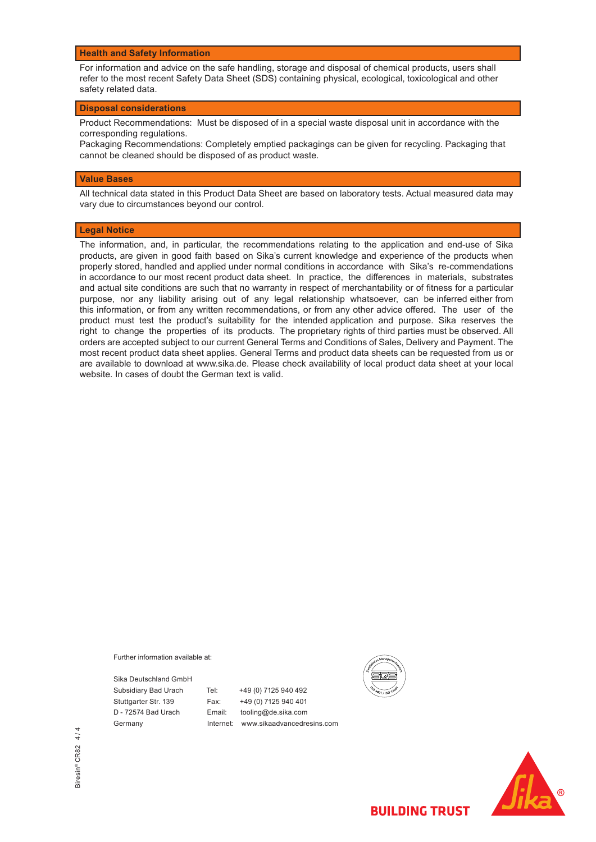#### **Health and Safety Information**

For information and advice on the safe handling, storage and disposal of chemical products, users shall refer to the most recent Safety Data Sheet (SDS) containing physical, ecological, toxicological and other safety related data.

#### **Disposal considerations**

Product Recommendations: Must be disposed of in a special waste disposal unit in accordance with the corresponding regulations.

Packaging Recommendations: Completely emptied packagings can be given for recycling. Packaging that cannot be cleaned should be disposed of as product waste.

#### **Value Bases**

All technical data stated in this Product Data Sheet are based on laboratory tests. Actual measured data may vary due to circumstances beyond our control.

#### **Legal Notice**

The information, and, in particular, the recommendations relating to the application and end-use of Sika products, are given in good faith based on Sika's current knowledge and experience of the products when properly stored, handled and applied under normal conditions in accordance with Sika's re-commendations in accordance to our most recent product data sheet. In practice, the differences in materials, substrates and actual site conditions are such that no warranty in respect of merchantability or of fitness for a particular purpose, nor any liability arising out of any legal relationship whatsoever, can be inferred either from this information, or from any written recommendations, or from any other advice offered. The user of the product must test the product's suitability for the intended application and purpose. Sika reserves the right to change the properties of its products. The proprietary rights of third parties must be observed. All orders are accepted subject to our current General Terms and Conditions of Sales, Delivery and Payment. The most recent product data sheet applies. General Terms and product data sheets can be requested from us or are available to download at www.sika.de. Please check availability of local product data sheet at your local website. In cases of doubt the German text is valid.

Further information available at:

Sika Deutschland GmbH

Subsidiary Bad Urach Tel: +49 (0) 7125 940 492 Stuttgarter Str. 139 Fax: +49 (0) 7125 940 401 D - 72574 Bad Urach Email: tooling@de.sika.com Germany Internet: www.sikaadvancedresins.com



**BUILDING TRUST** 

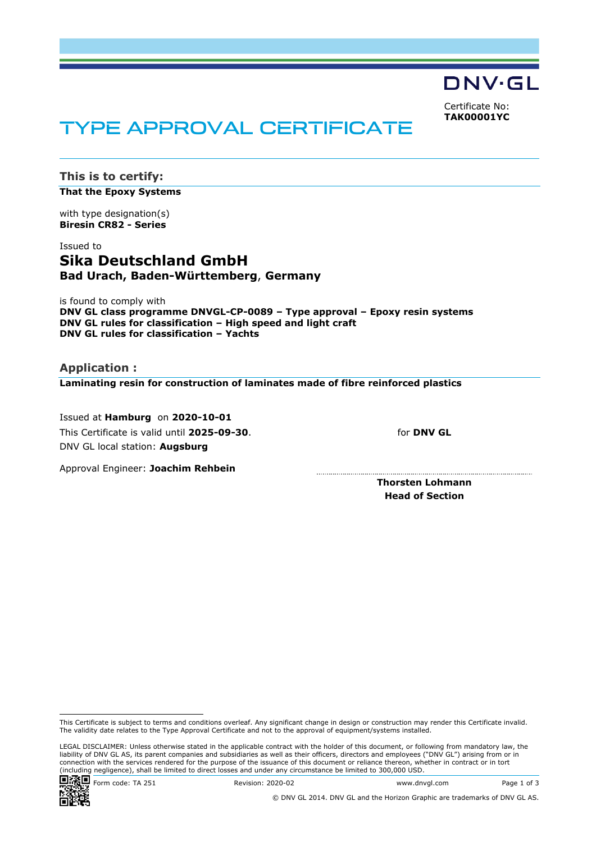DNV·GL

Certificate No: **TAK00001YC**

# TYPE APPROVAL CERTIFICATE

**This is to certify: That the Epoxy Systems**

with type designation(s) **Biresin CR82 - Series**

# Issued to **Sika Deutschland GmbH Bad Urach, Baden-Württemberg**, **Germany**

is found to comply with **DNV GL class programme DNVGL-CP-0089 – Type approval – Epoxy resin systems DNV GL rules for classification – High speed and light craft DNV GL rules for classification – Yachts**

**Application : Laminating resin for construction of laminates made of fibre reinforced plastics**

 Issued at **Hamburg** on **2020-10-01** This Certificate is valid until **2025-09-30**. DNV GL local station: **Augsburg**

for **DNV GL**

Approval Engineer: **Joachim Rehbein**

**Thorsten Lohmann Head of Section**

LEGAL DISCLAIMER: Unless otherwise stated in the applicable contract with the holder of this document, or following from mandatory law, the liability of DNV GL AS, its parent companies and subsidiaries as well as their officers, directors and employees ("DNV GL") arising from or in connection with the services rendered for the purpose of the issuance of this document or reliance thereon, whether in contract or in tort (including negligence), shall be limited to direct losses and under any circumstance be limited to 300,000 USD.



© DNV GL 2014. DNV GL and the Horizon Graphic are trademarks of DNV GL AS.

This Certificate is subject to terms and conditions overleaf. Any significant change in design or construction may render this Certificate invalid. The validity date relates to the Type Approval Certificate and not to the approval of equipment/systems installed.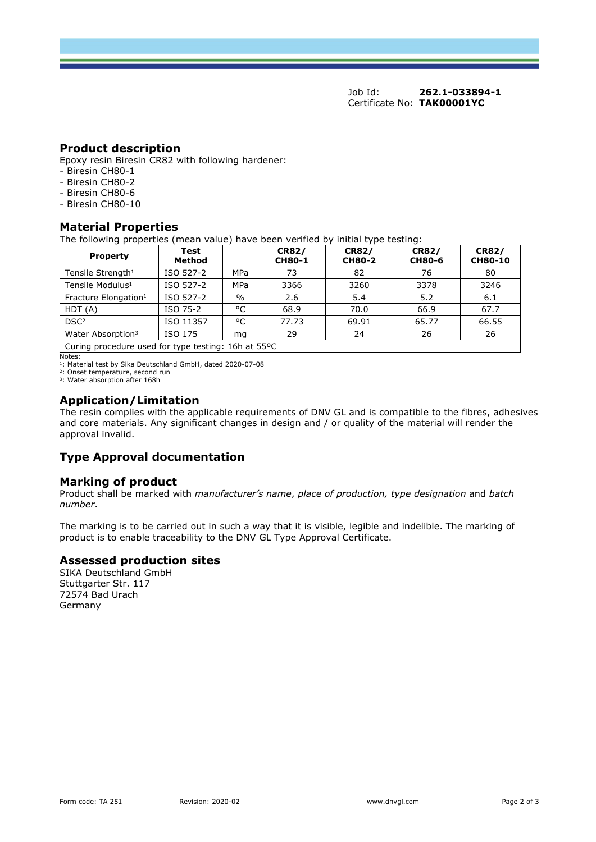Job Id: **262.1-033894-1**  Certificate No: **TAK00001YC**

## **Product description**

Epoxy resin Biresin CR82 with following hardener:

- Biresin CH80-1
- Biresin CH80-2
- Biresin CH80-6
- Biresin CH80-10

# **Material Properties**

The following properties (mean value) have been verified by initial type testing:

| <b>Property</b>                                      | Test<br>Method |               | <b>CR82/</b><br><b>CH80-1</b> | <b>CR82/</b><br><b>CH80-2</b> | <b>CR82/</b><br><b>CH80-6</b> | <b>CR82/</b><br><b>CH80-10</b> |
|------------------------------------------------------|----------------|---------------|-------------------------------|-------------------------------|-------------------------------|--------------------------------|
| Tensile Strength <sup>1</sup>                        | ISO 527-2      | <b>MPa</b>    | 73                            | 82                            | 76                            | 80                             |
| Tensile Modulus <sup>1</sup>                         | ISO 527-2      | MPa           | 3366                          | 3260                          | 3378                          | 3246                           |
| Fracture Elongation <sup>1</sup>                     | ISO 527-2      | $\frac{0}{0}$ | 2.6                           | 5.4                           | 5.2                           | 6.1                            |
| HDT(A)                                               | ISO 75-2       | °C            | 68.9                          | 70.0                          | 66.9                          | 67.7                           |
| DSC <sup>2</sup>                                     | ISO 11357      | °C            | 77.73                         | 69.91                         | 65.77                         | 66.55                          |
| Water Absorption <sup>3</sup>                        | ISO 175        | mg            | 29                            | 24                            | 26                            | 26                             |
| Curing procedure used for type testing: 16h at 55 °C |                |               |                               |                               |                               |                                |

Notes: <sup>1</sup>: Material test by Sika Deutschland GmbH, dated 2020-07-08

<sup>2</sup>: Onset temperature, second run<br><sup>3</sup>: Water absorption after 168h

## **Application/Limitation**

The resin complies with the applicable requirements of DNV GL and is compatible to the fibres, adhesives and core materials. Any significant changes in design and / or quality of the material will render the approval invalid.

# **Type Approval documentation**

## **Marking of product**

Product shall be marked with *manufacturer's name*, *place of production, type designation* and *batch number*.

The marking is to be carried out in such a way that it is visible, legible and indelible. The marking of product is to enable traceability to the DNV GL Type Approval Certificate.

## **Assessed production sites**

SIKA Deutschland GmbH Stuttgarter Str. 117 72574 Bad Urach Germany